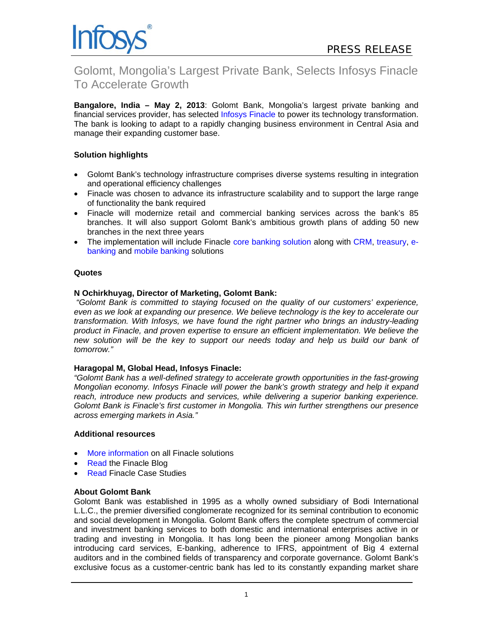

# Golomt, Mongolia's Largest Private Bank, Selects Infosys Finacle To Accelerate Growth

**Bangalore, India – May 2, 2013**: Golomt Bank, Mongolia's largest private banking and financial services provider, has selected [Infosys Finacle](http://www.infosys.com/finacle/Pages/index.aspx) to power its technology transformation. The bank is looking to adapt to a rapidly changing business environment in Central Asia and manage their expanding customer base.

# **Solution highlights**

- Golomt Bank's technology infrastructure comprises diverse systems resulting in integration and operational efficiency challenges
- Finacle was chosen to advance its infrastructure scalability and to support the large range of functionality the bank required
- Finacle will modernize retail and commercial banking services across the bank's 85 branches. It will also support Golomt Bank's ambitious growth plans of adding 50 new branches in the next three years
- The implementation will include Finacle [core banking solution](http://www.infosys.com/finacle/solutions/Pages/corebanking.aspx) along with [CRM,](http://www.infosys.com/finacle/solutions/Pages/crm.aspx) [treasury,](http://www.infosys.com/finacle/solutions/Pages/treasury.aspx) [e](http://www.infosys.com/finacle/solutions/Pages/e-Banking.aspx)[banking](http://www.infosys.com/finacle/solutions/Pages/e-Banking.aspx) and [mobile banking](http://www.infosys.com/finacle/solutions/Pages/mobile-banking.aspx) solutions

## **Quotes**

## **N Ochirkhuyag, Director of Marketing, Golomt Bank:**

*"Golomt Bank is committed to staying focused on the quality of our customers' experience, even as we look at expanding our presence. We believe technology is the key to accelerate our transformation. With Infosys, we have found the right partner who brings an industry-leading product in Finacle, and proven expertise to ensure an efficient implementation. We believe the new solution will be the key to support our needs today and help us build our bank of tomorrow."* 

## **Haragopal M, Global Head, Infosys Finacle:**

*"Golomt Bank has a well-defined strategy to accelerate growth opportunities in the fast-growing Mongolian economy. Infosys Finacle will power the bank's growth strategy and help it expand*  reach, introduce new products and services, while delivering a superior banking experience. *Golomt Bank is Finacle's first customer in Mongolia. This win further strengthens our presence across emerging markets in Asia."* 

#### **Additional resources**

- [More information](http://www.infosys.com/finacle/solutions/Pages/index.aspx) on all Finacle solutions
- [Read](http://www.infosysblogs.com/finacle/) the Finacle Blog
- [Read](http://www.infosys.com/finacle/resources/case-studies/Pages/index.aspx) Finacle Case Studies

#### **About Golomt Bank**

Golomt Bank was established in 1995 as a wholly owned subsidiary of Bodi International L.L.C., the premier diversified conglomerate recognized for its seminal contribution to economic and social development in Mongolia. Golomt Bank offers the complete spectrum of commercial and investment banking services to both domestic and international enterprises active in or trading and investing in Mongolia. It has long been the pioneer among Mongolian banks introducing card services, E-banking, adherence to IFRS, appointment of Big 4 external auditors and in the combined fields of transparency and corporate governance. Golomt Bank's exclusive focus as a customer-centric bank has led to its constantly expanding market share